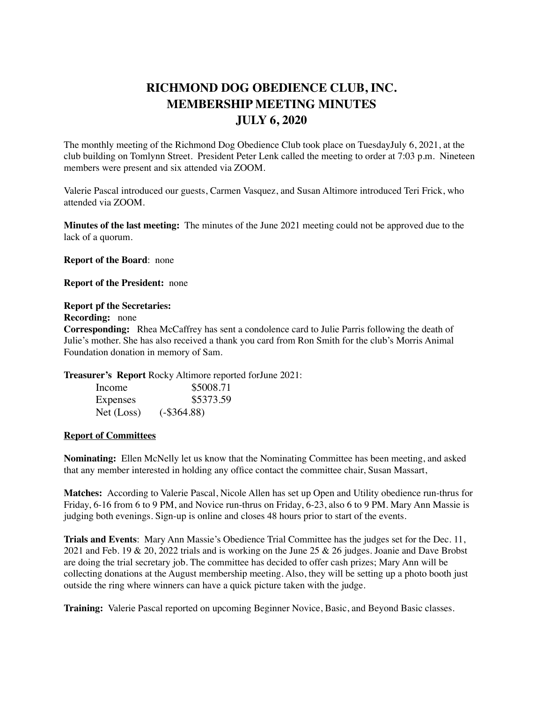## **RICHMOND DOG OBEDIENCE CLUB, INC. MEMBERSHIP MEETING MINUTES JULY 6, 2020**

The monthly meeting of the Richmond Dog Obedience Club took place on TuesdayJuly 6, 2021, at the club building on Tomlynn Street. President Peter Lenk called the meeting to order at 7:03 p.m. Nineteen members were present and six attended via ZOOM.

Valerie Pascal introduced our guests, Carmen Vasquez, and Susan Altimore introduced Teri Frick, who attended via ZOOM.

**Minutes of the last meeting:** The minutes of the June 2021 meeting could not be approved due to the lack of a quorum.

**Report of the Board**: none

**Report of the President:** none

## **Report pf the Secretaries:**

**Recording:** none

**Corresponding:** Rhea McCaffrey has sent a condolence card to Julie Parris following the death of Julie's mother. She has also received a thank you card from Ron Smith for the club's Morris Animal Foundation donation in memory of Sam.

**Treasurer's Report** Rocky Altimore reported forJune 2021:

| Income     | \$5008.71     |
|------------|---------------|
| Expenses   | \$5373.59     |
| Net (Loss) | $(-\$364.88)$ |

## **Report of Committees**

**Nominating:** Ellen McNelly let us know that the Nominating Committee has been meeting, and asked that any member interested in holding any office contact the committee chair, Susan Massart,

**Matches:** According to Valerie Pascal, Nicole Allen has set up Open and Utility obedience run-thrus for Friday, 6-16 from 6 to 9 PM, and Novice run-thrus on Friday, 6-23, also 6 to 9 PM. Mary Ann Massie is judging both evenings. Sign-up is online and closes 48 hours prior to start of the events.

**Trials and Events**: Mary Ann Massie's Obedience Trial Committee has the judges set for the Dec. 11, 2021 and Feb. 19 & 20, 2022 trials and is working on the June 25 & 26 judges. Joanie and Dave Brobst are doing the trial secretary job. The committee has decided to offer cash prizes; Mary Ann will be collecting donations at the August membership meeting. Also, they will be setting up a photo booth just outside the ring where winners can have a quick picture taken with the judge.

**Training:** Valerie Pascal reported on upcoming Beginner Novice, Basic, and Beyond Basic classes.